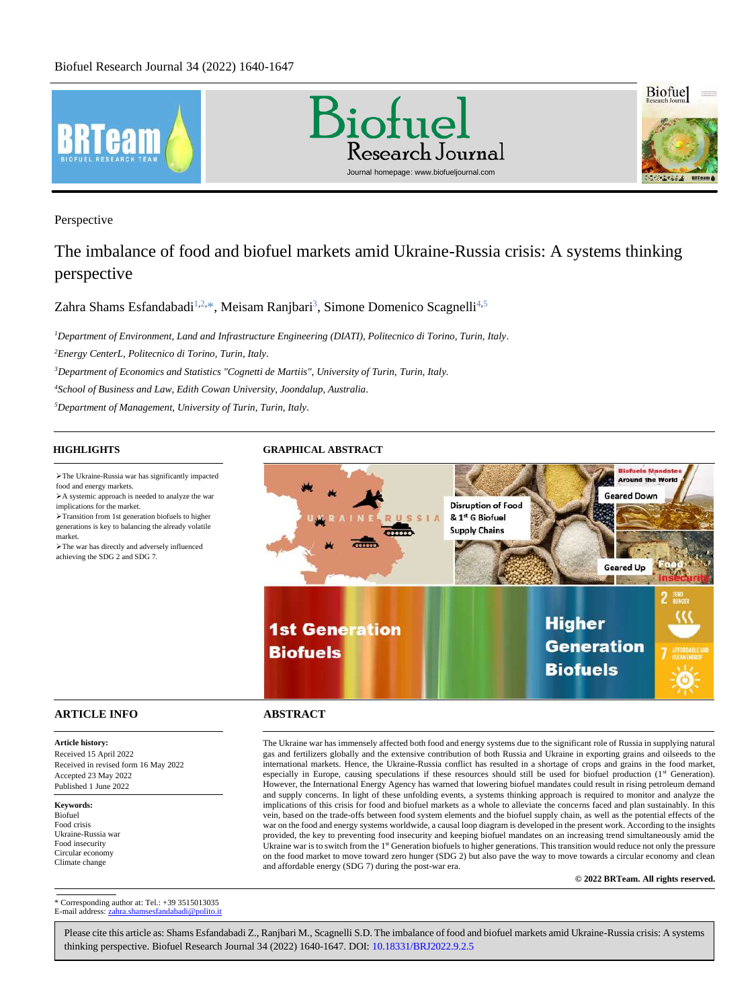

Perspective

# The imbalance of food and biofuel markets amid Ukraine-Russia crisis: A systems thinking perspective

[Zahra Shams Esfandabadi](#page-7-0)<sup>1,2,\*</sup>, [Meisam Ranjbari](#page-7-1)<sup>3</sup>, [Simone Domenico Scagnelli](#page-7-2)<sup>4,5</sup>

*Department of Environment, Land and Infrastructure Engineering (DIATI), Politecnico di Torino, Turin, Italy. Energy CenterL, Politecnico di Torino, Turin, Italy. Department of Economics and Statistics "Cognetti de Martiis", University of Turin, Turin, Italy. School of Business and Law, Edith Cowan University, Joondalup, Australia. Department of Management, University of Turin, Turin, Italy.*

➢The Ukraine-Russia war has significantly impacted food and energy markets.

➢A systemic approach is needed to analyze the war implications for the market. ➢Transition from 1st generation biofuels to higher generations is key to balancing the already volatile

market. ➢The war has directly and adversely influenced achieving the SDG 2 and SDG 7.

# **HIGHLIGHTS GRAPHICAL ABSTRACT**



# **ARTICLE INFO ABSTRACT**

Accepted 23 May 2022 Published 1 June 2022

Received in revised form 16 May 2022

**Article history:** Received 15 April 2022

**Keywords:** Biofuel Food crisis Ukraine-Russia war Food insecurity Circular economy Climate change

The Ukraine war has immensely affected both food and energy systems due to the significant role of Russia in supplying natural gas and fertilizers globally and the extensive contribution of both Russia and Ukraine in exporting grains and oilseeds to the international markets. Hence, the Ukraine-Russia conflict has resulted in a shortage of crops and grains in the food market, especially in Europe, causing speculations if these resources should still be used for biofuel production (1<sup>st</sup> Generation). However, the International Energy Agency has warned that lowering biofuel mandates could result in rising petroleum demand and supply concerns. In light of these unfolding events, a systems thinking approach is required to monitor and analyze the implications of this crisis for food and biofuel markets as a whole to alleviate the concerns faced and plan sustainably. In this vein, based on the trade-offs between food system elements and the biofuel supply chain, as well as the potential effects of the war on the food and energy systems worldwide, a causal loop diagram is developed in the present work. According to the insights provided, the key to preventing food insecurity and keeping biofuel mandates on an increasing trend simultaneously amid the Ukraine war is to switch from the 1<sup>st</sup> Generation biofuels to higher generations. This transition would reduce not only the pressure on the food market to move toward zero hunger (SDG 2) but also pave the way to move towards a circular economy and clean and affordable energy (SDG 7) during the post-war era. 

**© 2022 BRTeam. All rights reserved.**

<span id="page-0-0"></span>\* Corresponding author at: Tel.: +39 3515013035 E-mail address: zahra.s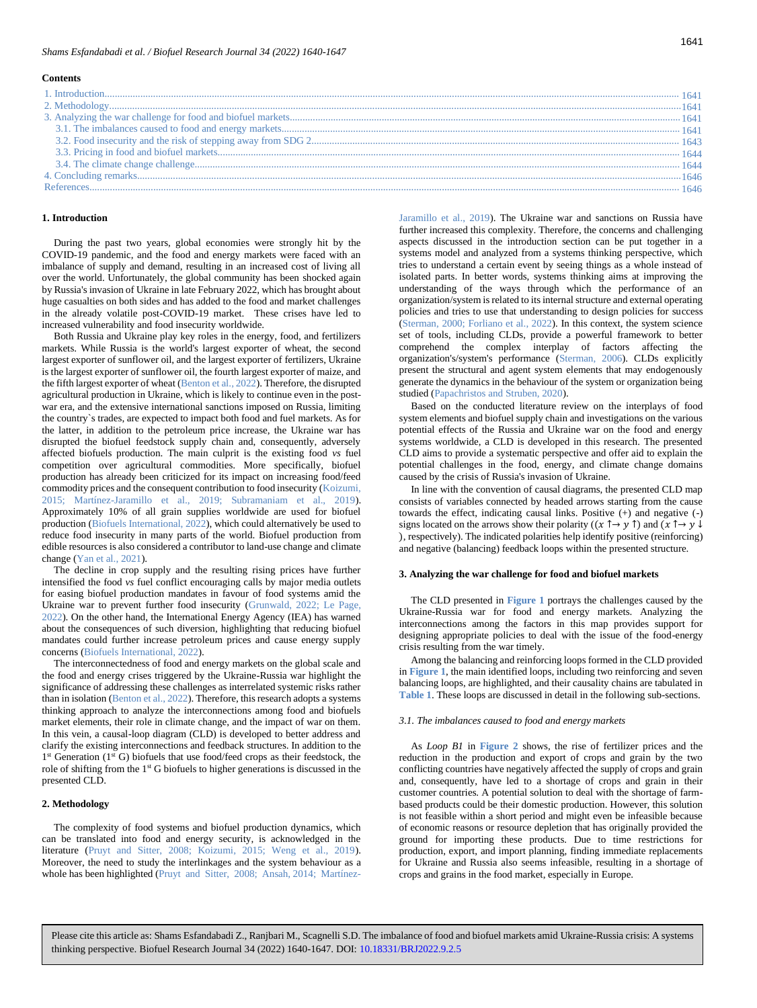#### **Contents**

#### <span id="page-1-0"></span>**1. Introduction**

During the past two years, global economies were strongly hit by the COVID-19 pandemic, and the food and energy markets were faced with an imbalance of supply and demand, resulting in an increased cost of living all over the world. Unfortunately, the global community has been shocked again by Russia's invasion of Ukraine in late February 2022, which has brought about huge casualties on both sides and has added to the food and market challenges in the already volatile post-COVID-19 market. These crises have led to increased vulnerability and food insecurity worldwide.

Both Russia and Ukraine play key roles in the energy, food, and fertilizers markets. While Russia is the world's largest exporter of wheat, the second largest exporter of sunflower oil, and the largest exporter of fertilizers, Ukraine is the largest exporter of sunflower oil, the fourth largest exporter of maize, and the fifth largest exporter of wheat (Benton et al., 2022). Therefore, the disrupted agricultural production in Ukraine, which is likely to continue even in the postwar era, and the extensive international sanctions imposed on Russia, limiting the country`s trades, are expected to impact both food and fuel markets. As for the latter, in addition to the petroleum price increase, the Ukraine war has disrupted the biofuel feedstock supply chain and, consequently, adversely affected biofuels production. The main culprit is the existing food *vs* fuel competition over agricultural commodities. More specifically, biofuel production has already been criticized for its impact on increasing food/feed commodity prices and the consequent contribution to food insecurity (Koizumi, 2015; Martínez-Jaramillo et al., 2019; Subramaniam et al., 2019). Approximately 10% of all grain supplies worldwide are used for biofuel production (Biofuels International, 2022), which could alternatively be used to reduce food insecurity in many parts of the world. Biofuel production from edible resources is also considered a contributor to land-use change and climate change (Yan et al., 2021).

The decline in crop supply and the resulting rising prices have further intensified the food *vs* fuel conflict encouraging calls by major media outlets for easing biofuel production mandates in favour of food systems amid the Ukraine war to prevent further food insecurity (Grunwald, 2022; Le Page, 2022). On the other hand, the International Energy Agency (IEA) has warned about the consequences of such diversion, highlighting that reducing biofuel mandates could further increase petroleum prices and cause energy supply concerns (Biofuels International, 2022).

The interconnectedness of food and energy markets on the global scale and the food and energy crises triggered by the Ukraine-Russia war highlight the significance of addressing these challenges as interrelated systemic risks rather than in isolation (Benton et al., 2022). Therefore, this research adopts a systems thinking approach to analyze the interconnections among food and biofuels market elements, their role in climate change, and the impact of war on them. In this vein, a causal-loop diagram (CLD) is developed to better address and clarify the existing interconnections and feedback structures. In addition to the 1<sup>st</sup> Generation (1<sup>st</sup> G) biofuels that use food/feed crops as their feedstock, the role of shifting from the 1st G biofuels to higher generations is discussed in the presented CLD.

### <span id="page-1-1"></span>**2. Methodology**

The complexity of food systems and biofuel production dynamics, which can be translated into food and energy security, is acknowledged in the literature (Pruyt and Sitter, 2008; Koizumi, 2015; Weng et al., 2019). Moreover, the need to study the interlinkages and the system behaviour as a whole has been highlighted (Pruyt and Sitter, 2008; Ansah, 2014; MartínezJaramillo et al., 2019). The Ukraine war and sanctions on Russia have further increased this complexity. Therefore, the concerns and challenging aspects discussed in the introduction section can be put together in a systems model and analyzed from a systems thinking perspective, which tries to understand a certain event by seeing things as a whole instead of isolated parts. In better words, systems thinking aims at improving the understanding of the ways through which the performance of an organization/system is related to its internal structure and external operating policies and tries to use that understanding to design policies for success (Sterman, 2000; Forliano et al., 2022). In this context, the system science set of tools, including CLDs, provide a powerful framework to better comprehend the complex interplay of factors affecting the organization's/system's performance (Sterman, 2006). CLDs explicitly present the structural and agent system elements that may endogenously generate the dynamics in the behaviour of the system or organization being studied (Papachristos and Struben, 2020).

Based on the conducted literature review on the interplays of food system elements and biofuel supply chain and investigations on the various potential effects of the Russia and Ukraine war on the food and energy systems worldwide, a CLD is developed in this research. The presented CLD aims to provide a systematic perspective and offer aid to explain the potential challenges in the food, energy, and climate change domains caused by the crisis of Russia's invasion of Ukraine.

In line with the convention of causal diagrams, the presented CLD map consists of variables connected by headed arrows starting from the cause towards the effect, indicating causal links. Positive (+) and negative (-) signs located on the arrows show their polarity ( $(x \uparrow \rightarrow y \uparrow)$ ) and  $(x \uparrow \rightarrow y \downarrow)$ ), respectively). The indicated polarities help identify positive (reinforcing) and negative (balancing) feedback loops within the presented structure.

#### <span id="page-1-2"></span>**3. Analyzing the war challenge for food and biofuel markets**

The CLD presented in **[Figure 1](#page-2-0)** portrays the challenges caused by the Ukraine-Russia war for food and energy markets. Analyzing the interconnections among the factors in this map provides support for designing appropriate policies to deal with the issue of the food-energy crisis resulting from the war timely.

Among the balancing and reinforcing loops formed in the CLD provided in **[Figure 1](#page-2-0)**, the main identified loops, including two reinforcing and seven balancing loops, are highlighted, and their causality chains are tabulated in **[Table 1](#page-3-0)**. These loops are discussed in detail in the following sub-sections.

#### <span id="page-1-3"></span>*3.1. The imbalances caused to food and energy markets*

As *Loop B1* in **[Figure 2](#page-3-1)** shows, the rise of fertilizer prices and the reduction in the production and export of crops and grain by the two conflicting countries have negatively affected the supply of crops and grain and, consequently, have led to a shortage of crops and grain in their customer countries. A potential solution to deal with the shortage of farmbased products could be their domestic production. However, this solution is not feasible within a short period and might even be infeasible because of economic reasons or resource depletion that has originally provided the ground for importing these products. Due to time restrictions for production, export, and import planning, finding immediate replacements for Ukraine and Russia also seems infeasible, resulting in a shortage of crops and grains in the food market, especially in Europe.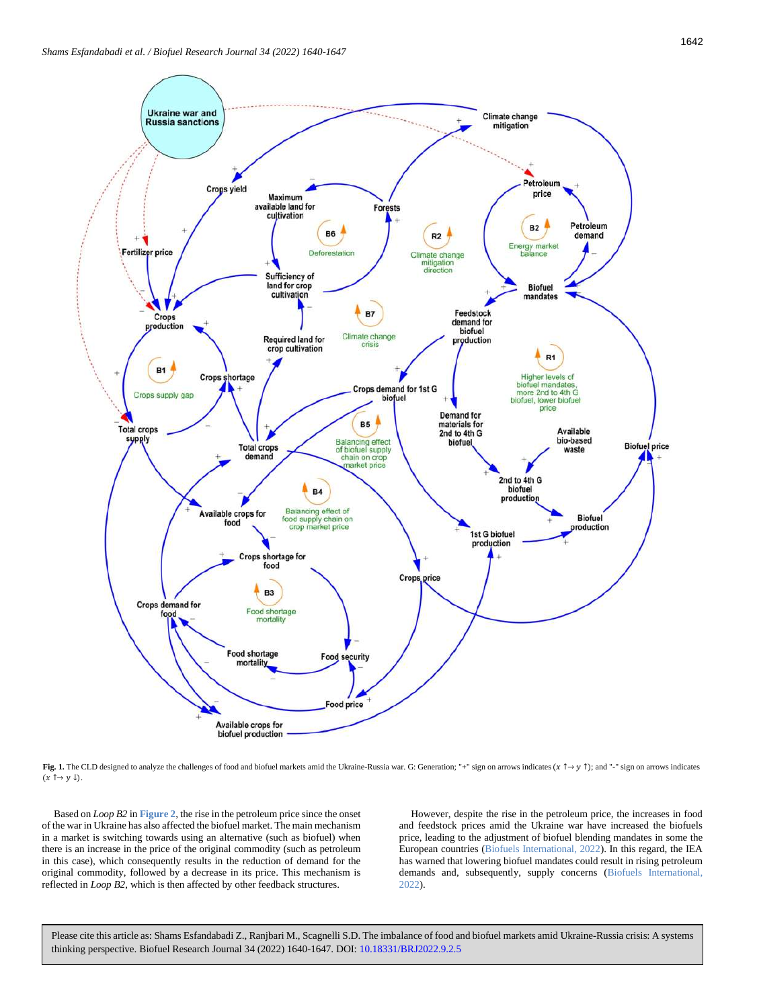

<span id="page-2-0"></span>**Fig. 1.** The CLD designed to analyze the challenges of food and biofuel markets amid the Ukraine-Russia war. G: Generation; "+" sign on arrows indicates ( $x \uparrow y \uparrow$ ); and "-" sign on arrows indicates  $(x \uparrow \rightarrow y \downarrow).$ 

Based on *Loop B2* in **[Figure 2](#page-3-1)**, the rise in the petroleum price since the onset of the war in Ukraine has also affected the biofuel market. The main mechanism in a market is switching towards using an alternative (such as biofuel) when there is an increase in the price of the original commodity (such as petroleum in this case), which consequently results in the reduction of demand for the original commodity, followed by a decrease in its price. This mechanism is reflected in *Loop B2*, which is then affected by other feedback structures.

However, despite the rise in the petroleum price, the increases in food and feedstock prices amid the Ukraine war have increased the biofuels price, leading to the adjustment of biofuel blending mandates in some the European countries (Biofuels International, 2022). In this regard, the IEA has warned that lowering biofuel mandates could result in rising petroleum demands and, subsequently, supply concerns (Biofuels International, 2022).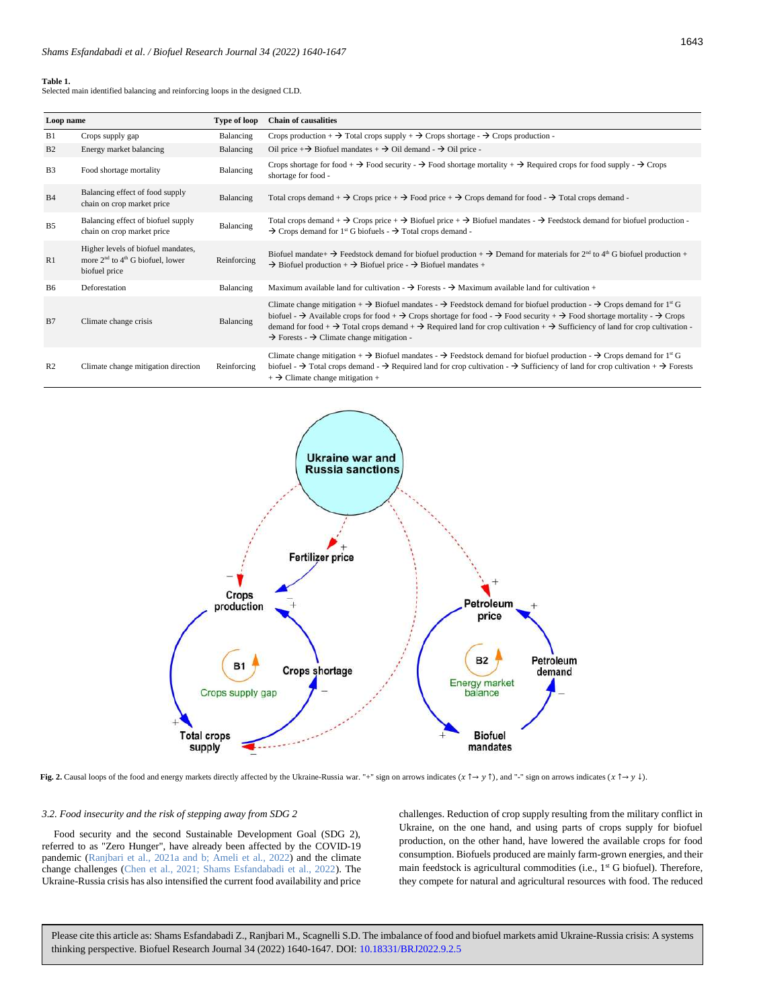#### <span id="page-3-0"></span>**Table 1.**

Selected main identified balancing and reinforcing loops in the designed CLD.

| Loop name      |                                                                                             | Type of loop | <b>Chain of causalities</b>                                                                                                                                                                                                                                                                                                                                                                                                                                                                                                                                                                            |
|----------------|---------------------------------------------------------------------------------------------|--------------|--------------------------------------------------------------------------------------------------------------------------------------------------------------------------------------------------------------------------------------------------------------------------------------------------------------------------------------------------------------------------------------------------------------------------------------------------------------------------------------------------------------------------------------------------------------------------------------------------------|
| B1             | Crops supply gap                                                                            | Balancing    | Crops production + $\rightarrow$ Total crops supply + $\rightarrow$ Crops shortage - $\rightarrow$ Crops production -                                                                                                                                                                                                                                                                                                                                                                                                                                                                                  |
| B <sub>2</sub> | Energy market balancing                                                                     | Balancing    | Oil price + $\rightarrow$ Biofuel mandates + $\rightarrow$ Oil demand - $\rightarrow$ Oil price -                                                                                                                                                                                                                                                                                                                                                                                                                                                                                                      |
| <b>B3</b>      | Food shortage mortality                                                                     | Balancing    | Crops shortage for food + $\rightarrow$ Food security - $\rightarrow$ Food shortage mortality + $\rightarrow$ Required crops for food supply - $\rightarrow$ Crops<br>shortage for food -                                                                                                                                                                                                                                                                                                                                                                                                              |
| B <sub>4</sub> | Balancing effect of food supply<br>chain on crop market price                               | Balancing    | Total crops demand + $\rightarrow$ Crops price + $\rightarrow$ Food price + $\rightarrow$ Crops demand for food - $\rightarrow$ Total crops demand -                                                                                                                                                                                                                                                                                                                                                                                                                                                   |
| <b>B5</b>      | Balancing effect of biofuel supply<br>chain on crop market price                            | Balancing    | Total crops demand $+ \rightarrow$ Crops price $+ \rightarrow$ Biofuel price $+ \rightarrow$ Biofuel mandates $- \rightarrow$ Feedstock demand for biofuel production -<br>$\rightarrow$ Crops demand for 1 <sup>st</sup> G biofuels - $\rightarrow$ Total crops demand -                                                                                                                                                                                                                                                                                                                              |
| R1             | Higher levels of biofuel mandates,<br>more $2nd$ to $4th$ G biofuel, lower<br>biofuel price | Reinforcing  | Biofuel mandate + $\rightarrow$ Feedstock demand for biofuel production + $\rightarrow$ Demand for materials for 2 <sup>nd</sup> to 4 <sup>th</sup> G biofuel production +<br>$\rightarrow$ Biofuel production + $\rightarrow$ Biofuel price - $\rightarrow$ Biofuel mandates +                                                                                                                                                                                                                                                                                                                        |
| <b>B6</b>      | Deforestation                                                                               | Balancing    | Maximum available land for cultivation $\rightarrow$ Forests $\rightarrow$ Maximum available land for cultivation +                                                                                                                                                                                                                                                                                                                                                                                                                                                                                    |
| B7             | Climate change crisis                                                                       | Balancing    | Climate change mitigation + $\rightarrow$ Biofuel mandates - $\rightarrow$ Feedstock demand for biofuel production - $\rightarrow$ Crops demand for 1 <sup>st</sup> G<br>biofuel - $\rightarrow$ Available crops for food + $\rightarrow$ Crops shortage for food - $\rightarrow$ Food security + $\rightarrow$ Food shortage mortality - $\rightarrow$ Crops<br>demand for food + $\rightarrow$ Total crops demand + $\rightarrow$ Required land for crop cultivation + $\rightarrow$ Sufficiency of land for crop cultivation -<br>$\rightarrow$ Forests - $\rightarrow$ Climate change mitigation - |
| R <sub>2</sub> | Climate change mitigation direction                                                         | Reinforcing  | Climate change mitigation + $\rightarrow$ Biofuel mandates - $\rightarrow$ Feedstock demand for biofuel production - $\rightarrow$ Crops demand for 1 <sup>st</sup> G<br>biofuel - $\rightarrow$ Total crops demand - $\rightarrow$ Required land for crop cultivation - $\rightarrow$ Sufficiency of land for crop cultivation + $\rightarrow$ Forests<br>$+$ $\rightarrow$ Climate change mitigation +                                                                                                                                                                                               |



<span id="page-3-1"></span>**Fig. 2.** Causal loops of the food and energy markets directly affected by the Ukraine-Russia war. "+" sign on arrows indicates ( $\pi \uparrow \rightarrow \gamma \uparrow$ ), and "-" sign on arrows indicates ( $\pi \uparrow \rightarrow \gamma \downarrow$ ).

# <span id="page-3-2"></span>*3.2. Food insecurity and the risk of stepping away from SDG 2*

Food security and the second Sustainable Development Goal (SDG 2), referred to as "Zero Hunger", have already been affected by the COVID-19 pandemic (Ranjbari et al., 2021a and b; Ameli et al., 2022) and the climate change challenges (Chen et al., 2021; Shams Esfandabadi et al., 2022). The Ukraine-Russia crisis has also intensified the current food availability and price

challenges. Reduction of crop supply resulting from the military conflict in Ukraine, on the one hand, and using parts of crops supply for biofuel production, on the other hand, have lowered the available crops for food consumption. Biofuels produced are mainly farm-grown energies, and their main feedstock is agricultural commodities (i.e., 1<sup>st</sup> G biofuel). Therefore, they compete for natural and agricultural resources with food. The reduced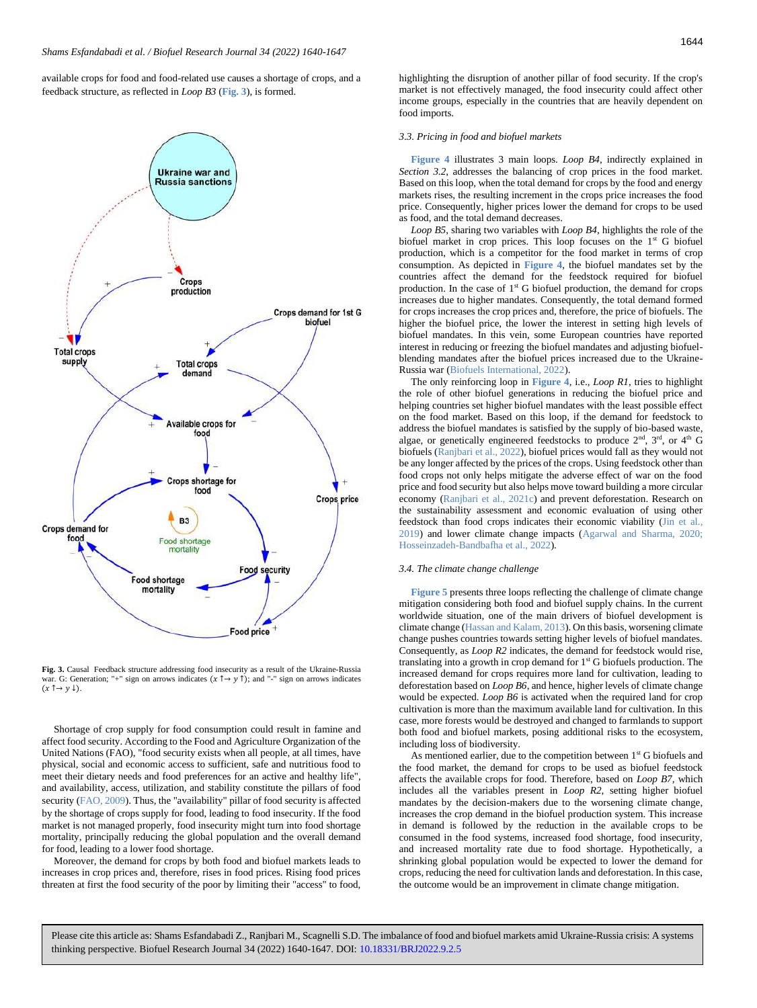available crops for food and food-related use causes a shortage of crops, and a feedback structure, as reflected in *Loop B3* (**[Fig. 3](#page-4-2)**), is formed.



<span id="page-4-2"></span>**Fig. 3.** Causal Feedback structure addressing food insecurity as a result of the Ukraine-Russia war. G: Generation; "+" sign on arrows indicates  $(x \uparrow \rightarrow y \uparrow)$ ; and "-" sign on arrows indicates  $(x \uparrow \rightarrow y \downarrow).$ 

Shortage of crop supply for food consumption could result in famine and affect food security. According to the Food and Agriculture Organization of the United Nations (FAO), "food security exists when all people, at all times, have physical, social and economic access to sufficient, safe and nutritious food to meet their dietary needs and food preferences for an active and healthy life", and availability, access, utilization, and stability constitute the pillars of food security (FAO, 2009). Thus, the "availability" pillar of food security is affected by the shortage of crops supply for food, leading to food insecurity. If the food market is not managed properly, food insecurity might turn into food shortage mortality, principally reducing the global population and the overall demand for food, leading to a lower food shortage.

Moreover, the demand for crops by both food and biofuel markets leads to increases in crop prices and, therefore, rises in food prices. Rising food prices threaten at first the food security of the poor by limiting their "access" to food, highlighting the disruption of another pillar of food security. If the crop's market is not effectively managed, the food insecurity could affect other income groups, especially in the countries that are heavily dependent on food imports.

#### <span id="page-4-0"></span>*3.3. Pricing in food and biofuel markets*

**[Figure 4](#page-5-0)** illustrates 3 main loops. *Loop B4*, indirectly explained in *Section 3.2*, addresses the balancing of crop prices in the food market. Based on this loop, when the total demand for crops by the food and energy markets rises, the resulting increment in the crops price increases the food price. Consequently, higher prices lower the demand for crops to be used as food, and the total demand decreases.

*Loop B5*, sharing two variables with *Loop B4*, highlights the role of the biofuel market in crop prices. This loop focuses on the 1<sup>st</sup> G biofuel production, which is a competitor for the food market in terms of crop consumption. As depicted in **[Figure 4](#page-5-0)**, the biofuel mandates set by the countries affect the demand for the feedstock required for biofuel production. In the case of  $1<sup>st</sup>$  G biofuel production, the demand for crops increases due to higher mandates. Consequently, the total demand formed for crops increases the crop prices and, therefore, the price of biofuels. The higher the biofuel price, the lower the interest in setting high levels of biofuel mandates. In this vein, some European countries have reported interest in reducing or freezing the biofuel mandates and adjusting biofuelblending mandates after the biofuel prices increased due to the Ukraine-Russia war (Biofuels International, 2022).

The only reinforcing loop in **[Figure 4](#page-5-0)**, i.e., *Loop R1*, tries to highlight the role of other biofuel generations in reducing the biofuel price and helping countries set higher biofuel mandates with the least possible effect on the food market. Based on this loop, if the demand for feedstock to address the biofuel mandates is satisfied by the supply of bio-based waste, algae, or genetically engineered feedstocks to produce  $2<sup>nd</sup>$ ,  $3<sup>rd</sup>$ , or  $4<sup>th</sup>$  G biofuels (Ranjbari et al., 2022), biofuel prices would fall as they would not be any longer affected by the prices of the crops. Using feedstock other than food crops not only helps mitigate the adverse effect of war on the food price and food security but also helps move toward building a more circular economy (Ranjbari et al., 2021c) and prevent deforestation. Research on the sustainability assessment and economic evaluation of using other feedstock than food crops indicates their economic viability (Jin et al., 2019) and lower climate change impacts (Agarwal and Sharma, 2020; Hosseinzadeh-Bandbafha et al., 2022).

#### <span id="page-4-1"></span>*3.4. The climate change challenge*

**[Figure 5](#page-5-1)** presents three loops reflecting the challenge of climate change mitigation considering both food and biofuel supply chains. In the current worldwide situation, one of the main drivers of biofuel development is climate change (Hassan and Kalam, 2013). On this basis, worsening climate change pushes countries towards setting higher levels of biofuel mandates. Consequently, as *Loop R2* indicates, the demand for feedstock would rise, translating into a growth in crop demand for  $1<sup>st</sup>$  G biofuels production. The increased demand for crops requires more land for cultivation, leading to deforestation based on *Loop B6*, and hence, higher levels of climate change would be expected. *Loop B6* is activated when the required land for crop cultivation is more than the maximum available land for cultivation. In this case, more forests would be destroyed and changed to farmlands to support both food and biofuel markets, posing additional risks to the ecosystem, including loss of biodiversity.

As mentioned earlier, due to the competition between 1<sup>st</sup> G biofuels and the food market, the demand for crops to be used as biofuel feedstock affects the available crops for food. Therefore, based on *Loop B7,* which includes all the variables present in *Loop R2*, setting higher biofuel mandates by the decision-makers due to the worsening climate change, increases the crop demand in the biofuel production system. This increase in demand is followed by the reduction in the available crops to be consumed in the food systems, increased food shortage, food insecurity, and increased mortality rate due to food shortage. Hypothetically, a shrinking global population would be expected to lower the demand for crops, reducing the need for cultivation lands and deforestation. In this case, the outcome would be an improvement in climate change mitigation.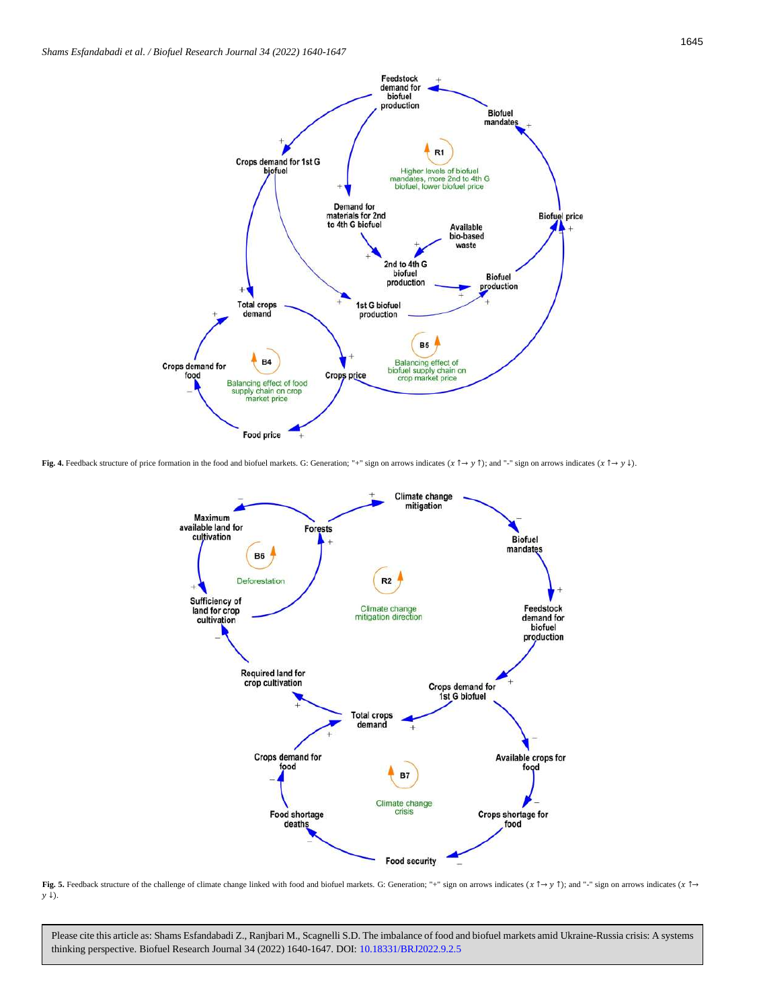

<span id="page-5-0"></span>**Fig. 4.** Feedback structure of price formation in the food and biofuel markets. G: Generation; "+" sign on arrows indicates  $(\mathbf{x} \uparrow \rightarrow \mathbf{y})$  and "-" sign on arrows indicates  $(\mathbf{x} \uparrow \rightarrow \mathbf{y})$ .



<span id="page-5-1"></span>**Fig. 5.** Feedback structure of the challenge of climate change linked with food and biofuel markets. G: Generation; "+" sign on arrows indicates ( $x \uparrow \rightarrow y \uparrow$ ); and "-" sign on arrows indicates ( $x \uparrow \rightarrow y \uparrow$ );  $y \downarrow$ ).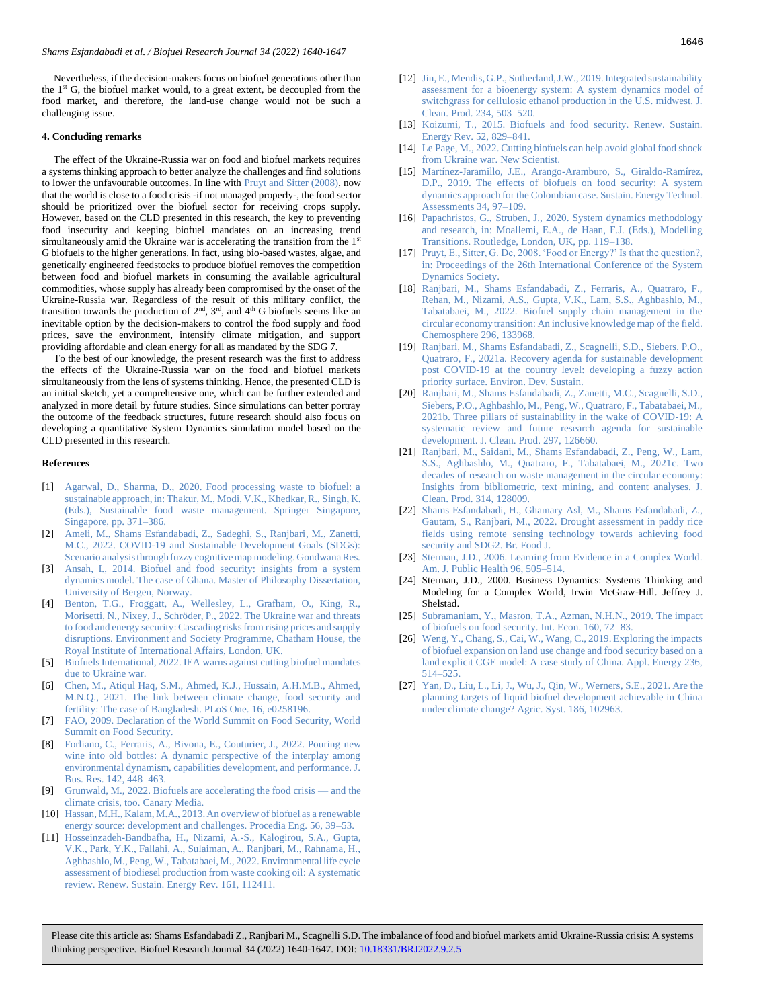Nevertheless, if the decision-makers focus on biofuel generations other than the  $1<sup>st</sup>$  G, the biofuel market would, to a great extent, be decoupled from the food market, and therefore, the land-use change would not be such a challenging issue.

#### <span id="page-6-0"></span>**4. Concluding remarks**

The effect of the Ukraine-Russia war on food and biofuel markets requires a systems thinking approach to better analyze the challenges and find solutions to lower the unfavourable outcomes. In line with Pruyt and Sitter (2008), now that the world is close to a food crisis -if not managed properly-, the food sector should be prioritized over the biofuel sector for receiving crops supply. However, based on the CLD presented in this research, the key to preventing food insecurity and keeping biofuel mandates on an increasing trend simultaneously amid the Ukraine war is accelerating the transition from the 1<sup>st</sup> G biofuels to the higher generations. In fact, using bio-based wastes, algae, and genetically engineered feedstocks to produce biofuel removes the competition between food and biofuel markets in consuming the available agricultural commodities, whose supply has already been compromised by the onset of the Ukraine-Russia war. Regardless of the result of this military conflict, the transition towards the production of  $2<sup>nd</sup>$ ,  $3<sup>rd</sup>$ , and  $4<sup>th</sup>$  G biofuels seems like an inevitable option by the decision-makers to control the food supply and food prices, save the environment, intensify climate mitigation, and support providing affordable and clean energy for all as mandated by the SDG 7.

To the best of our knowledge, the present research was the first to address the effects of the Ukraine-Russia war on the food and biofuel markets simultaneously from the lens of systems thinking. Hence, the presented CLD is an initial sketch, yet a comprehensive one, which can be further extended and analyzed in more detail by future studies. Since simulations can better portray the outcome of the feedback structures, future research should also focus on developing a quantitative System Dynamics simulation model based on the CLD presented in this research.

#### <span id="page-6-1"></span>**References**

- [1] [Agarwal, D., Sharma, D., 2020. Food processing waste to biofuel: a](https://doi.org/10.1007/978-981-15-8967-6_20)  [sustainable approach, in: Thakur, M., Modi, V.K., Khedkar, R., Singh, K.](https://doi.org/10.1007/978-981-15-8967-6_20)  [\(Eds.\), Sustainable food waste management. Springer Singapore,](https://doi.org/10.1007/978-981-15-8967-6_20)  [Singapore, pp. 371](https://doi.org/10.1007/978-981-15-8967-6_20)–386.
- [2] [Ameli, M., Shams Esfandabadi, Z., Sadeghi, S., Ranjbari, M., Zanetti,](https://doi.org/10.1016/j.gr.2021.12.014)  [M.C., 2022. COVID-19 and Sustainable Development Goals \(SDGs\):](https://doi.org/10.1016/j.gr.2021.12.014)  [Scenario analysis through fuzzy cognitive map modeling. Gondwana Res.](https://doi.org/10.1016/j.gr.2021.12.014)
- [3] [Ansah, I., 2014. Biofuel and food security:](https://bora.uib.no/bora-xmlui/handle/1956/8431) insights from a system [dynamics model. The case of Ghana. Master of Philosophy Dissertation,](https://bora.uib.no/bora-xmlui/handle/1956/8431)  [University of Bergen, Norway.](https://bora.uib.no/bora-xmlui/handle/1956/8431)
- [4] [Benton, T.G., Froggatt, A., Wellesley, L., Grafham, O., King, R.,](https://www.chathamhouse.org/sites/default/files/2022-04/2022-04-12-ukraine-war-threats-food-energy-security-benton-et-al_0.pdf)  [Morisetti, N., Nixey, J., Schröder, P., 2022. The Ukraine war and threats](https://www.chathamhouse.org/sites/default/files/2022-04/2022-04-12-ukraine-war-threats-food-energy-security-benton-et-al_0.pdf)  [to food and energy security: Cascading risks from rising prices and supply](https://www.chathamhouse.org/sites/default/files/2022-04/2022-04-12-ukraine-war-threats-food-energy-security-benton-et-al_0.pdf)  [disruptions. Environment and Society Programme, Chatham House,](https://www.chathamhouse.org/sites/default/files/2022-04/2022-04-12-ukraine-war-threats-food-energy-security-benton-et-al_0.pdf) the [Royal Institute of International Affairs, London, UK.](https://www.chathamhouse.org/sites/default/files/2022-04/2022-04-12-ukraine-war-threats-food-energy-security-benton-et-al_0.pdf)
- [5] [Biofuels International, 2022. IEA warns against cutting biofuel mandates](https://biofuels-news.com/news/iea-warns-against-cutting-biofuel-mandates-due-to-ukraine-war/)  [due to Ukraine war.](https://biofuels-news.com/news/iea-warns-against-cutting-biofuel-mandates-due-to-ukraine-war/)
- [6] [Chen, M., Atiqul Haq, S.M., Ahmed, K.J., Hussain, A.H.M.B., Ahmed,](https://doi.org/10.1371/journal.pone.0258196)  [M.N.Q., 2021. The link between climate change, food security and](https://doi.org/10.1371/journal.pone.0258196)  [fertility: The case of Bangladesh. PLoS One. 16, e0258196.](https://doi.org/10.1371/journal.pone.0258196)
- [7] [FAO, 2009. Declaration of the World Summit on Food Security, World](https://www.fao.org/fileadmin/templates/wsfs/Summit/Docs/Final_Declaration/WSFS09_Declaration.pdf)  [Summit on Food Security.](https://www.fao.org/fileadmin/templates/wsfs/Summit/Docs/Final_Declaration/WSFS09_Declaration.pdf)
- [8] [Forliano, C., Ferraris, A., Bivona, E., Couturier, J., 2022. Pouring new](https://doi.org/10.1016/j.jbusres.2021.12.065)  [wine into old bottles: A dynamic perspective of the interplay among](https://doi.org/10.1016/j.jbusres.2021.12.065)  [environmental dynamism, capabilities development, and performance. J.](https://doi.org/10.1016/j.jbusres.2021.12.065)  [Bus. Res. 142, 448](https://doi.org/10.1016/j.jbusres.2021.12.065)–463.
- [9] [Grunwald, M., 2022. Biofuels are accelerating the food crisis](https://www.canarymedia.com/articles/food-and-farms/biofuels-are-accelerating-the-food-crisis-and-the-climate-crisis-too)  and the [climate crisis, too. Canary Media.](https://www.canarymedia.com/articles/food-and-farms/biofuels-are-accelerating-the-food-crisis-and-the-climate-crisis-too)
- [10] [Hassan, M.H., Kalam, M.A., 2013. An overview of biofuel as a renewable](https://doi.org/10.1016/j.proeng.2013.03.087)  [energy source: development and challenges. Procedia Eng. 56, 39](https://doi.org/10.1016/j.proeng.2013.03.087)–53.
- [11] [Hosseinzadeh-Bandbafha, H., Nizami, A.-S., Kalogirou, S.A., Gupta,](https://doi.org/10.1016/j.rser.2022.112411)  [V.K., Park, Y.K., Fallahi, A., Sulaiman, A., Ranjbari, M., Rahnama, H.,](https://doi.org/10.1016/j.rser.2022.112411)  [Aghbashlo, M., Peng, W., Tabatabaei, M., 2022. Environmental life cycle](https://doi.org/10.1016/j.rser.2022.112411)  [assessment of biodiesel production from waste cooking oil: A systematic](https://doi.org/10.1016/j.rser.2022.112411)  [review. Renew. Sustain. Energy Rev. 161, 112411.](https://doi.org/10.1016/j.rser.2022.112411)
- [12] [Jin, E., Mendis, G.P., Sutherland, J.W., 2019. Integrated sustainability](https://doi.org/10.1016/j.jclepro.2019.06.205)  [assessment for a bioenergy system: A system dynamics model of](https://doi.org/10.1016/j.jclepro.2019.06.205)  [switchgrass for cellulosic ethanol production in the U.S. midwest. J.](https://doi.org/10.1016/j.jclepro.2019.06.205)  [Clean. Prod. 234, 503](https://doi.org/10.1016/j.jclepro.2019.06.205)–520.
- [13] Koizumi, T., 2015. Biofuels and food security. Renew. Sustain. [Energy Rev. 52, 829](https://doi.org/10.1016/j.rser.2015.06.041)–841.
- [14] Le Page, M., 2022. Cutting biofuels can help avoid global food shock [from Ukraine war. New Scientist.](https://www.newscientist.com/article/2312151-cutting-biofuels-can-help-avoid-global-food-shock-from-ukraine-war/)
- [15] [Martínez-Jaramillo, J.E., Arango-Aramburo, S., Giraldo-Ramírez,](https://doi.org/10.1016/j.seta.2019.05.009)  [D.P., 2019. The effects of biofuels on food security: A system](https://doi.org/10.1016/j.seta.2019.05.009)  [dynamics approach for the Colombian case. Sustain. Energy Technol.](https://doi.org/10.1016/j.seta.2019.05.009)  [Assessments 34, 97](https://doi.org/10.1016/j.seta.2019.05.009)–109.
- [16] Papachristos, G., Struben, J., 2020. System dynamics methodology [and research, in: Moallemi, E.A., de Haan, F.J. \(Eds.\), Modelling](https://doi.org/10.4324/9780429056574-8)  [Transitions. Routledge, London, UK, pp. 119](https://doi.org/10.4324/9780429056574-8)–138.
- [17] [Pruyt, E., Sitter, G. De, 2008. 'Food or Energy?' Is that the question?,](https://proceedings.systemdynamics.org/2008/proceed/papers/PRUYT372.pdf)  [in: Proceedings of the 26th International Conference of the System](https://proceedings.systemdynamics.org/2008/proceed/papers/PRUYT372.pdf)  [Dynamics Society.](https://proceedings.systemdynamics.org/2008/proceed/papers/PRUYT372.pdf)
- [18] [Ranjbari, M., Shams Esfandabadi, Z., Ferraris, A., Quatraro, F.,](https://doi.org/10.1016/j.chemosphere.2022.133968)  [Rehan, M., Nizami, A.S., Gupta, V.K., Lam, S.S., Aghbashlo, M.,](https://doi.org/10.1016/j.chemosphere.2022.133968)  [Tabatabaei, M., 2022. Biofuel supply chain management in the](https://doi.org/10.1016/j.chemosphere.2022.133968)  [circular economy transition: An inclusive knowledge map of the field.](https://doi.org/10.1016/j.chemosphere.2022.133968)  [Chemosphere 296, 133968.](https://doi.org/10.1016/j.chemosphere.2022.133968)
- [19] [Ranjbari, M., Shams Esfandabadi, Z., Scagnelli, S.D., Siebers, P.O.,](https://doi.org/10.1007/s10668-021-01372-6)  [Quatraro, F., 2021a. Recovery agenda for sustainable development](https://doi.org/10.1007/s10668-021-01372-6)  [post COVID-19 at the country level: developing a fuzzy action](https://doi.org/10.1007/s10668-021-01372-6)  [priority surface. Environ. Dev. Sustain.](https://doi.org/10.1007/s10668-021-01372-6)
- [20] [Ranjbari, M., Shams Esfandabadi, Z., Zanetti, M.C., Scagnelli, S.D.,](https://doi.org/10.1016/j.jclepro.2021.126660)  [Siebers, P.O., Aghbashlo, M., Peng, W., Quatraro, F., Tabatabaei, M.,](https://doi.org/10.1016/j.jclepro.2021.126660)  [2021b. Three pillars of sustainability in the wake of COVID-19: A](https://doi.org/10.1016/j.jclepro.2021.126660)  [systematic review and future research agenda for sustainable](https://doi.org/10.1016/j.jclepro.2021.126660)  [development. J. Clean. Prod. 297, 126660.](https://doi.org/10.1016/j.jclepro.2021.126660)
- [21] [Ranjbari, M., Saidani, M., Shams Esfandabadi, Z., Peng, W., Lam,](https://doi.org/10.1016/j.jclepro.2021.128009)  [S.S., Aghbashlo, M., Quatraro, F., Tabatabaei, M., 2021c. Two](https://doi.org/10.1016/j.jclepro.2021.128009)  [decades of research on waste management in the circular economy:](https://doi.org/10.1016/j.jclepro.2021.128009)  [Insights from bibliometric, text mining, and content analyses. J.](https://doi.org/10.1016/j.jclepro.2021.128009)  [Clean. Prod. 314, 128009.](https://doi.org/10.1016/j.jclepro.2021.128009)
- [22] [Shams Esfandabadi, H., Ghamary Asl, M., Shams Esfandabadi, Z.,](https://doi.org/10.1108/BFJ-08-2021-0872)  [Gautam, S., Ranjbari, M., 2022. Drought assessment in paddy rice](https://doi.org/10.1108/BFJ-08-2021-0872)  [fields using remote sensing technology towards achieving food](https://doi.org/10.1108/BFJ-08-2021-0872)  [security and SDG2. Br. Food J.](https://doi.org/10.1108/BFJ-08-2021-0872)
- [23] Sterman, J.D., 2006. Learning from Evidence in a Complex World. [Am. J. Public Health 96, 505](https://doi.org/10.2105/AJPH.2005.066043)–514.
- [24] Sterman, J.D., 2000. Business Dynamics: Systems Thinking and Modeling for a Complex World, Irwin McGraw-Hill. Jeffrey J. Shelstad.
- [25] [Subramaniam, Y., Masron, T.A., Azman, N.H.N., 2019. The impact](https://doi.org/10.1016/j.inteco.2019.10.003)  [of biofuels on food security. Int. Econ. 160, 72](https://doi.org/10.1016/j.inteco.2019.10.003)–83.
- [26] [Weng, Y., Chang, S., Cai, W., Wang, C., 2019. Exploring the impacts](https://doi.org/10.1016/j.apenergy.2018.12.024)  [of biofuel expansion on land use change and food security based on a](https://doi.org/10.1016/j.apenergy.2018.12.024)  [land explicit CGE model: A case study of China. Appl. Energy 236,](https://doi.org/10.1016/j.apenergy.2018.12.024)  514–[525.](https://doi.org/10.1016/j.apenergy.2018.12.024)
- [27] [Yan, D., Liu, L., Li, J., Wu, J., Qin, W., Werners, S.E., 2021. Are the](https://doi.org/10.1016/j.agsy.2020.102963)  [planning targets of liquid biofuel development achievable in China](https://doi.org/10.1016/j.agsy.2020.102963)  [under climate change? Agric. Syst. 186, 102963.](https://doi.org/10.1016/j.agsy.2020.102963)